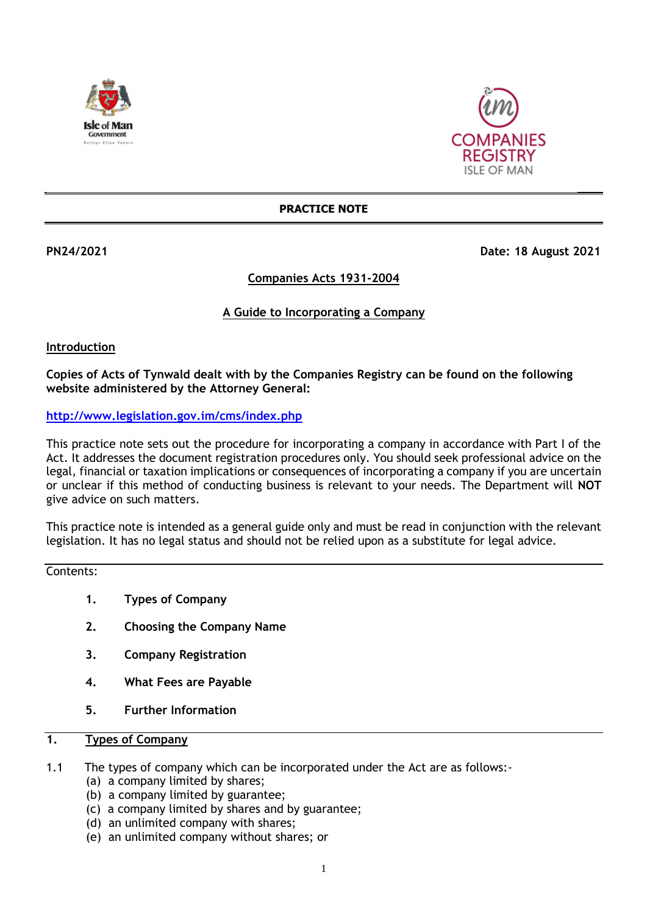



#### **PRACTICE NOTE**

# **PN24/2021 Date: 18 August 2021**

# **Companies Acts 1931-2004**

# **A Guide to Incorporating a Company**

#### **Introduction**

**Copies of Acts of Tynwald dealt with by the Companies Registry can be found on the following website administered by the Attorney General:**

**<http://www.legislation.gov.im/cms/index.php>** 

This practice note sets out the procedure for incorporating a company in accordance with Part I of the Act. It addresses the document registration procedures only. You should seek professional advice on the legal, financial or taxation implications or consequences of incorporating a company if you are uncertain or unclear if this method of conducting business is relevant to your needs. The Department will **NOT** give advice on such matters.

This practice note is intended as a general guide only and must be read in conjunction with the relevant legislation. It has no legal status and should not be relied upon as a substitute for legal advice.

# Contents:

- **1. Types of Company**
- **2. Choosing the Company Name**
- **3. Company Registration**
- **4. What Fees are Payable**
- **5. Further Information**

# **1. Types of Company**

- 1.1 The types of company which can be incorporated under the Act are as follows:-
	- (a) a company limited by shares;
	- (b) a company limited by guarantee;
	- (c) a company limited by shares and by guarantee;
	- (d) an unlimited company with shares;
	- (e) an unlimited company without shares; or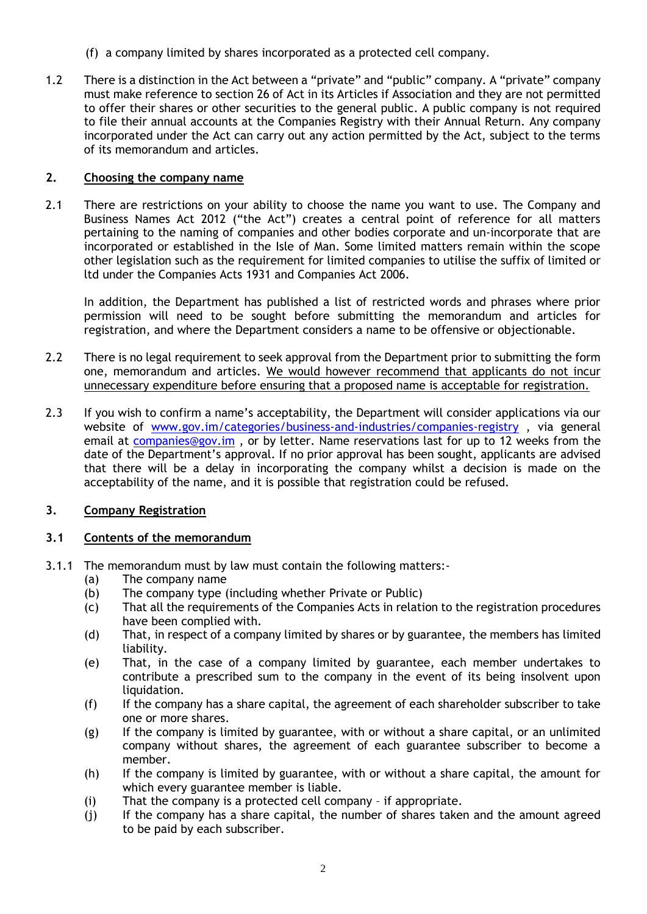- (f) a company limited by shares incorporated as a protected cell company.
- 1.2 There is a distinction in the Act between a "private" and "public" company. A "private" company must make reference to section 26 of Act in its Articles if Association and they are not permitted to offer their shares or other securities to the general public. A public company is not required to file their annual accounts at the Companies Registry with their Annual Return. Any company incorporated under the Act can carry out any action permitted by the Act, subject to the terms of its memorandum and articles.

### **2. Choosing the company name**

2.1 There are restrictions on your ability to choose the name you want to use. The Company and Business Names Act 2012 ("the Act") creates a central point of reference for all matters pertaining to the naming of companies and other bodies corporate and un-incorporate that are incorporated or established in the Isle of Man. Some limited matters remain within the scope other legislation such as the requirement for limited companies to utilise the suffix of limited or ltd under the Companies Acts 1931 and Companies Act 2006.

In addition, the Department has published a list of restricted words and phrases where prior permission will need to be sought before submitting the memorandum and articles for registration, and where the Department considers a name to be offensive or objectionable.

- 2.2 There is no legal requirement to seek approval from the Department prior to submitting the form one, memorandum and articles. We would however recommend that applicants do not incur unnecessary expenditure before ensuring that a proposed name is acceptable for registration.
- 2.3 If you wish to confirm a name's acceptability, the Department will consider applications via our website of [www.gov.im/categories/business-and-industries/companies-registry](http://www.gov.im/categories/business-and-industries/companies-registry), via general email at [companies@gov.im](mailto:companies.registry@gov.im) , or by letter. Name reservations last for up to 12 weeks from the date of the Department's approval. If no prior approval has been sought, applicants are advised that there will be a delay in incorporating the company whilst a decision is made on the acceptability of the name, and it is possible that registration could be refused.

# **3. Company Registration**

# **3.1 Contents of the memorandum**

- 3.1.1 The memorandum must by law must contain the following matters:-
	- (a) The company name
	- (b) The company type (including whether Private or Public)
	- (c) That all the requirements of the Companies Acts in relation to the registration procedures have been complied with.
	- (d) That, in respect of a company limited by shares or by guarantee, the members has limited liability.
	- (e) That, in the case of a company limited by guarantee, each member undertakes to contribute a prescribed sum to the company in the event of its being insolvent upon liquidation.
	- (f) If the company has a share capital, the agreement of each shareholder subscriber to take one or more shares.
	- (g) If the company is limited by guarantee, with or without a share capital, or an unlimited company without shares, the agreement of each guarantee subscriber to become a member.
	- (h) If the company is limited by guarantee, with or without a share capital, the amount for which every guarantee member is liable.
	- (i) That the company is a protected cell company if appropriate.
	- (j) If the company has a share capital, the number of shares taken and the amount agreed to be paid by each subscriber.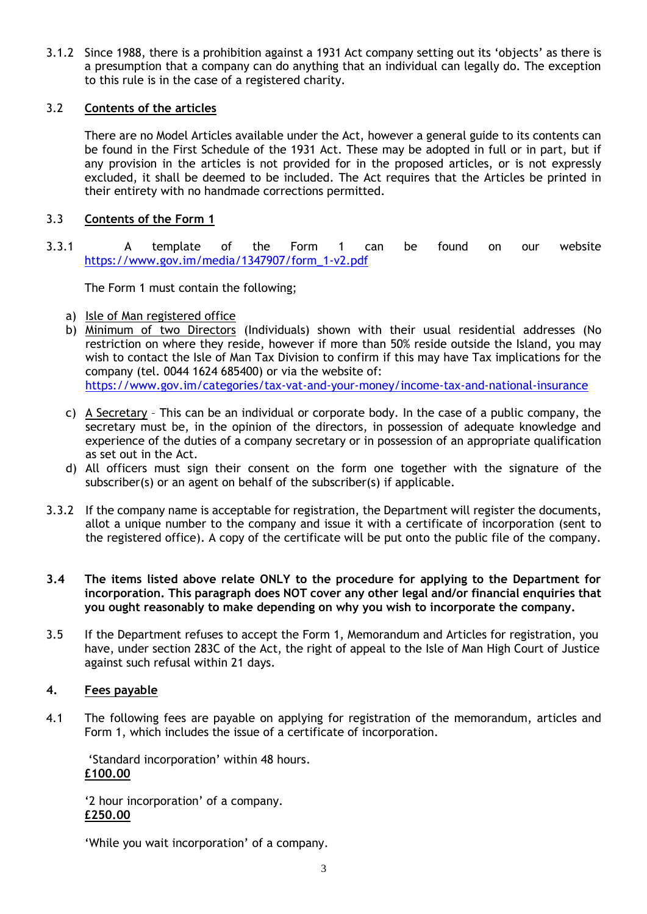3.1.2 Since 1988, there is a prohibition against a 1931 Act company setting out its 'objects' as there is a presumption that a company can do anything that an individual can legally do. The exception to this rule is in the case of a registered charity.

### 3.2 **Contents of the articles**

There are no Model Articles available under the Act, however a general guide to its contents can be found in the First Schedule of the 1931 Act. These may be adopted in full or in part, but if any provision in the articles is not provided for in the proposed articles, or is not expressly excluded, it shall be deemed to be included. The Act requires that the Articles be printed in their entirety with no handmade corrections permitted.

# 3.3 **Contents of the Form 1**

3.3.1 A template of the Form 1 can be found on our website [https://www.gov.im/media/1347907/form\\_1-v2.pdf](https://www.gov.im/media/1347907/form_1-v2.pdf)

The Form 1 must contain the following;

- a) Isle of Man registered office
- b) Minimum of two Directors (Individuals) shown with their usual residential addresses (No restriction on where they reside, however if more than 50% reside outside the Island, you may wish to contact the Isle of Man Tax Division to confirm if this may have Tax implications for the company (tel. 0044 1624 685400) or via the website of: <https://www.gov.im/categories/tax-vat-and-your-money/income-tax-and-national-insurance>
- c) A Secretary This can be an individual or corporate body. In the case of a public company, the secretary must be, in the opinion of the directors, in possession of adequate knowledge and experience of the duties of a company secretary or in possession of an appropriate qualification as set out in the Act.
- d) All officers must sign their consent on the form one together with the signature of the subscriber(s) or an agent on behalf of the subscriber(s) if applicable.
- 3.3.2 If the company name is acceptable for registration, the Department will register the documents, allot a unique number to the company and issue it with a certificate of incorporation (sent to the registered office). A copy of the certificate will be put onto the public file of the company.
- **3.4 The items listed above relate ONLY to the procedure for applying to the Department for incorporation. This paragraph does NOT cover any other legal and/or financial enquiries that you ought reasonably to make depending on why you wish to incorporate the company.**
- 3.5 If the Department refuses to accept the Form 1, Memorandum and Articles for registration, you have, under section 283C of the Act, the right of appeal to the Isle of Man High Court of Justice against such refusal within 21 days.

#### **4. Fees payable**

4.1 The following fees are payable on applying for registration of the memorandum, articles and Form 1, which includes the issue of a certificate of incorporation.

'Standard incorporation' within 48 hours. **£100.00**

'2 hour incorporation' of a company. **£250.00**

'While you wait incorporation' of a company.